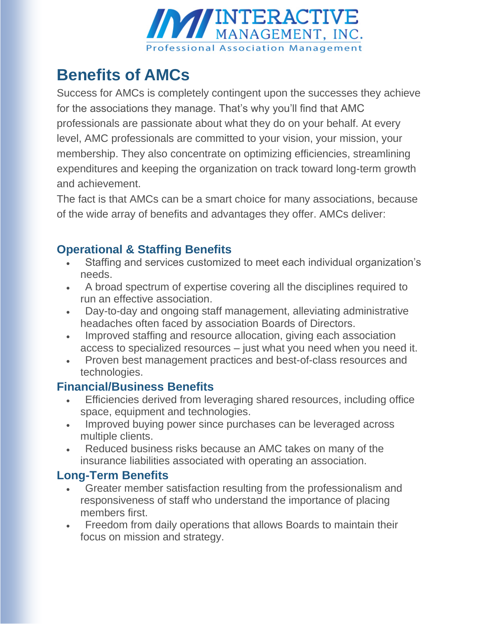

# **Benefits of AMCs**

Success for AMCs is completely contingent upon the successes they achieve for the associations they manage. That's why you'll find that AMC professionals are passionate about what they do on your behalf. At every level, AMC professionals are committed to your vision, your mission, your membership. They also concentrate on optimizing efficiencies, streamlining expenditures and keeping the organization on track toward long-term growth and achievement.

The fact is that AMCs can be a smart choice for many associations, because of the wide array of benefits and advantages they offer. AMCs deliver:

## **Operational & Staffing Benefits**

- Staffing and services customized to meet each individual organization's needs.
- A broad spectrum of expertise covering all the disciplines required to run an effective association.
- Day-to-day and ongoing staff management, alleviating administrative headaches often faced by association Boards of Directors.
- Improved staffing and resource allocation, giving each association access to specialized resources – just what you need when you need it.
- Proven best management practices and best-of-class resources and technologies.

### **Financial/Business Benefits**

- Efficiencies derived from leveraging shared resources, including office space, equipment and technologies.
- Improved buying power since purchases can be leveraged across multiple clients.
- Reduced business risks because an AMC takes on many of the insurance liabilities associated with operating an association.

### **Long-Term Benefits**

- Greater member satisfaction resulting from the professionalism and responsiveness of staff who understand the importance of placing members first.
- Freedom from daily operations that allows Boards to maintain their focus on mission and strategy.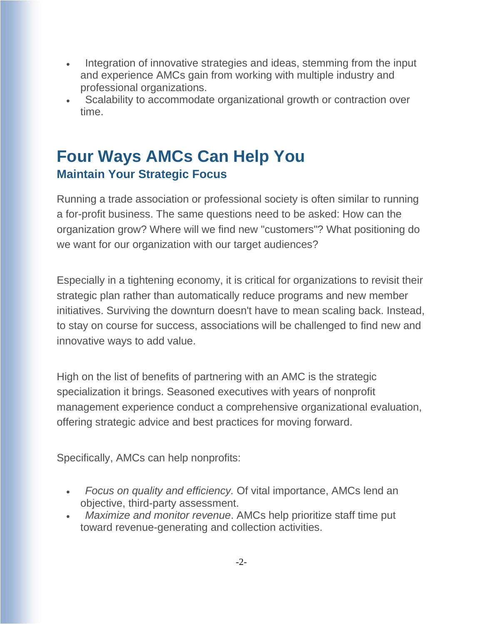- Integration of innovative strategies and ideas, stemming from the input and experience AMCs gain from working with multiple industry and professional organizations.
- Scalability to accommodate organizational growth or contraction over time.

## **Four Ways AMCs Can Help You Maintain Your Strategic Focus**

Running a trade association or professional society is often similar to running a for-profit business. The same questions need to be asked: How can the organization grow? Where will we find new "customers"? What positioning do we want for our organization with our target audiences?

Especially in a tightening economy, it is critical for organizations to revisit their strategic plan rather than automatically reduce programs and new member initiatives. Surviving the downturn doesn't have to mean scaling back. Instead, to stay on course for success, associations will be challenged to find new and innovative ways to add value.

High on the list of benefits of partnering with an AMC is the strategic specialization it brings. Seasoned executives with years of nonprofit management experience conduct a comprehensive organizational evaluation, offering strategic advice and best practices for moving forward.

Specifically, AMCs can help nonprofits:

- *Focus on quality and efficiency.* Of vital importance, AMCs lend an objective, third-party assessment.
- *Maximize and monitor revenue*. AMCs help prioritize staff time put toward revenue-generating and collection activities.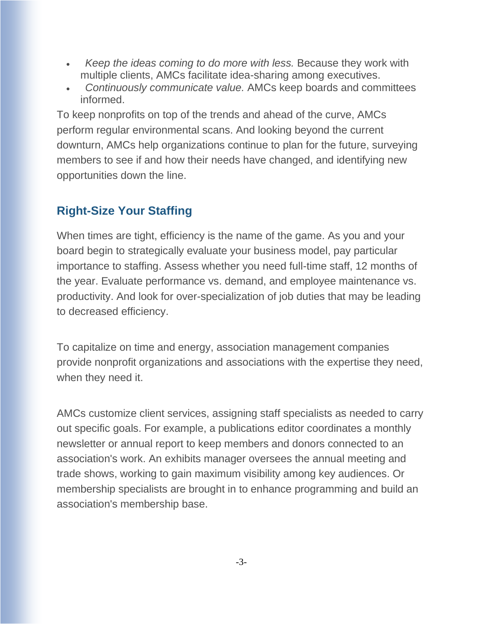- *Keep the ideas coming to do more with less.* Because they work with multiple clients, AMCs facilitate idea-sharing among executives.
- *Continuously communicate value.* AMCs keep boards and committees informed.

To keep nonprofits on top of the trends and ahead of the curve, AMCs perform regular environmental scans. And looking beyond the current downturn, AMCs help organizations continue to plan for the future, surveying members to see if and how their needs have changed, and identifying new opportunities down the line.

## **Right-Size Your Staffing**

When times are tight, efficiency is the name of the game. As you and your board begin to strategically evaluate your business model, pay particular importance to staffing. Assess whether you need full-time staff, 12 months of the year. Evaluate performance vs. demand, and employee maintenance vs. productivity. And look for over-specialization of job duties that may be leading to decreased efficiency.

To capitalize on time and energy, association management companies provide nonprofit organizations and associations with the expertise they need, when they need it.

AMCs customize client services, assigning staff specialists as needed to carry out specific goals. For example, a publications editor coordinates a monthly newsletter or annual report to keep members and donors connected to an association's work. An exhibits manager oversees the annual meeting and trade shows, working to gain maximum visibility among key audiences. Or membership specialists are brought in to enhance programming and build an association's membership base.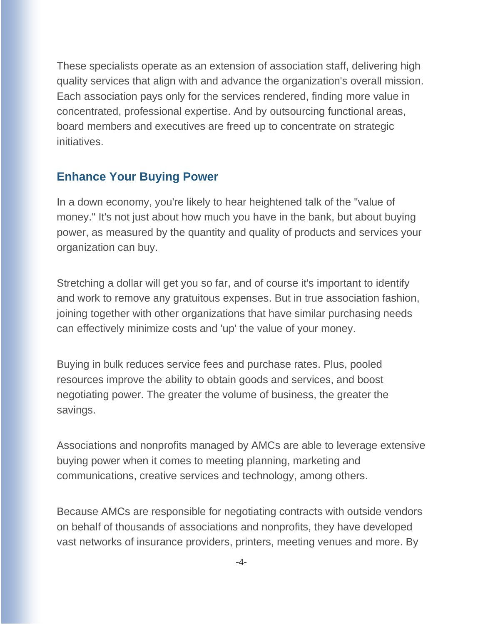These specialists operate as an extension of association staff, delivering high quality services that align with and advance the organization's overall mission. Each association pays only for the services rendered, finding more value in concentrated, professional expertise. And by outsourcing functional areas, board members and executives are freed up to concentrate on strategic initiatives.

#### **Enhance Your Buying Power**

In a down economy, you're likely to hear heightened talk of the "value of money." It's not just about how much you have in the bank, but about buying power, as measured by the quantity and quality of products and services your organization can buy.

Stretching a dollar will get you so far, and of course it's important to identify and work to remove any gratuitous expenses. But in true association fashion, joining together with other organizations that have similar purchasing needs can effectively minimize costs and 'up' the value of your money.

Buying in bulk reduces service fees and purchase rates. Plus, pooled resources improve the ability to obtain goods and services, and boost negotiating power. The greater the volume of business, the greater the savings.

Associations and nonprofits managed by AMCs are able to leverage extensive buying power when it comes to meeting planning, marketing and communications, creative services and technology, among others.

Because AMCs are responsible for negotiating contracts with outside vendors on behalf of thousands of associations and nonprofits, they have developed vast networks of insurance providers, printers, meeting venues and more. By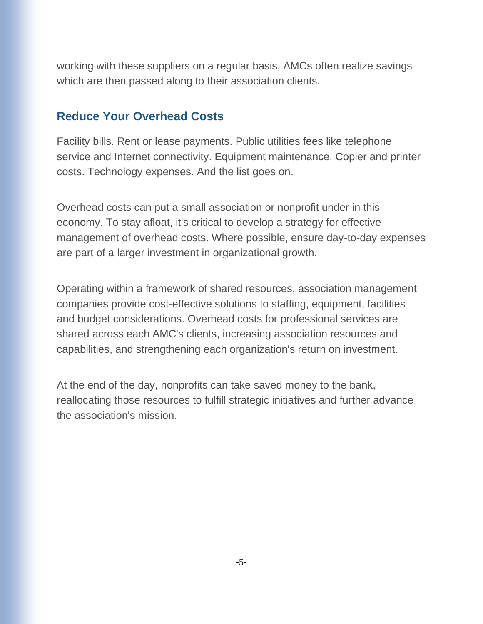working with these suppliers on a regular basis, AMCs often realize savings which are then passed along to their association clients.

#### **Reduce Your Overhead Costs**

Facility bills. Rent or lease payments. Public utilities fees like telephone service and Internet connectivity. Equipment maintenance. Copier and printer costs. Technology expenses. And the list goes on.

Overhead costs can put a small association or nonprofit under in this economy. To stay afloat, it's critical to develop a strategy for effective management of overhead costs. Where possible, ensure day-to-day expenses are part of a larger investment in organizational growth.

Operating within a framework of shared resources, association management companies provide cost-effective solutions to staffing, equipment, facilities and budget considerations. Overhead costs for professional services are shared across each AMC's clients, increasing association resources and capabilities, and strengthening each organization's return on investment.

At the end of the day, nonprofits can take saved money to the bank, reallocating those resources to fulfill strategic initiatives and further advance the association's mission.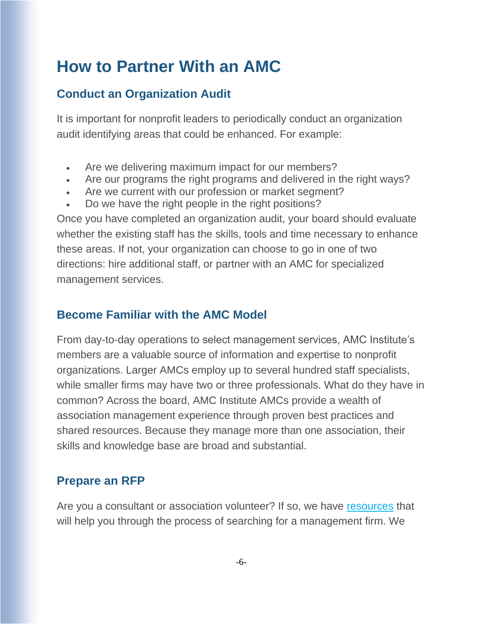# **How to Partner With an AMC**

### **Conduct an Organization Audit**

It is important for nonprofit leaders to periodically conduct an organization audit identifying areas that could be enhanced. For example:

- Are we delivering maximum impact for our members?
- Are our programs the right programs and delivered in the right ways?
- Are we current with our profession or market segment?
- Do we have the right people in the right positions?

Once you have completed an organization audit, your board should evaluate whether the existing staff has the skills, tools and time necessary to enhance these areas. If not, your organization can choose to go in one of two directions: hire additional staff, or partner with an AMC for specialized management services.

### **Become Familiar with the AMC Model**

From day-to-day operations to select management services, AMC Institute's members are a valuable source of information and expertise to nonprofit organizations. Larger AMCs employ up to several hundred staff specialists, while smaller firms may have two or three professionals. What do they have in common? Across the board, AMC Institute AMCs provide a wealth of association management experience through proven best practices and shared resources. Because they manage more than one association, their skills and knowledge base are broad and substantial.

### **Prepare an RFP**

Are you a consultant or association volunteer? If so, we have [resources](https://www.amcinstitute.org/ThinkingAboutAnRFP) that will help you through the process of searching for a management firm. We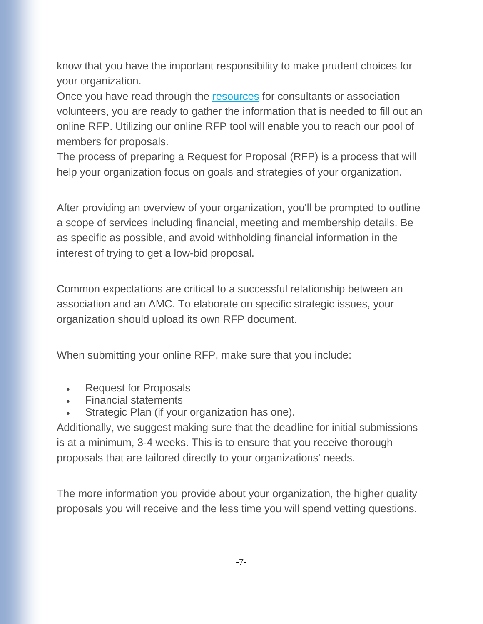know that you have the important responsibility to make prudent choices for your organization.

Once you have read through the [resources](https://www.amcinstitute.org/ThinkingAboutAnRFP) for consultants or association volunteers, you are ready to gather the information that is needed to fill out an online RFP. Utilizing our online RFP tool will enable you to reach our pool of members for proposals.

The process of preparing a Request for Proposal (RFP) is a process that will help your organization focus on goals and strategies of your organization.

After providing an overview of your organization, you'll be prompted to outline a scope of services including financial, meeting and membership details. Be as specific as possible, and avoid withholding financial information in the interest of trying to get a low-bid proposal.

Common expectations are critical to a successful relationship between an association and an AMC. To elaborate on specific strategic issues, your organization should upload its own RFP document.

When submitting your online RFP, make sure that you include:

- Request for Proposals
- Financial statements
- Strategic Plan (if your organization has one).

Additionally, we suggest making sure that the deadline for initial submissions is at a minimum, 3-4 weeks. This is to ensure that you receive thorough proposals that are tailored directly to your organizations' needs.

The more information you provide about your organization, the higher quality proposals you will receive and the less time you will spend vetting questions.